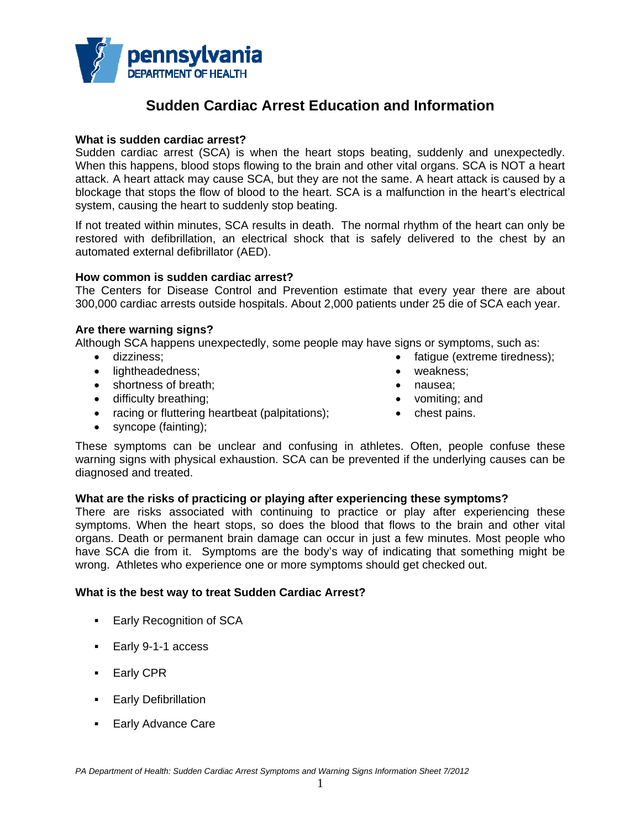

# **Sudden Cardiac Arrest Education and Information**

### **What is sudden cardiac arrest?**

Sudden cardiac arrest (SCA) is when the heart stops beating, suddenly and unexpectedly. When this happens, blood stops flowing to the brain and other vital organs. SCA is NOT a heart attack. A heart attack may cause SCA, but they are not the same. A heart attack is caused by a blockage that stops the flow of blood to the heart. SCA is a malfunction in the heart's electrical system, causing the heart to suddenly stop beating.

If not treated within minutes, SCA results in death. The normal rhythm of the heart can only be restored with defibrillation, an electrical shock that is safely delivered to the chest by an automated external defibrillator (AED).

## **How common is sudden cardiac arrest?**

The Centers for Disease Control and Prevention estimate that every year there are about 300,000 cardiac arrests outside hospitals. About 2,000 patients under 25 die of SCA each year.

#### **Are there warning signs?**

Although SCA happens unexpectedly, some people may have signs or symptoms, such as:

- **dizziness**;
- lightheadedness;
- shortness of breath;
- difficulty breathing;
- racing or fluttering heartbeat (palpitations);
- syncope (fainting);
- fatigue (extreme tiredness);
- weakness:
- nausea;
- vomiting; and
- chest pains.

These symptoms can be unclear and confusing in athletes. Often, people confuse these warning signs with physical exhaustion. SCA can be prevented if the underlying causes can be diagnosed and treated.

#### **What are the risks of practicing or playing after experiencing these symptoms?**

There are risks associated with continuing to practice or play after experiencing these symptoms. When the heart stops, so does the blood that flows to the brain and other vital organs. Death or permanent brain damage can occur in just a few minutes. Most people who have SCA die from it. Symptoms are the body's way of indicating that something might be wrong. Athletes who experience one or more symptoms should get checked out.

#### **What is the best way to treat Sudden Cardiac Arrest?**

- **Early Recognition of SCA**
- **Early 9-1-1 access**
- **Early CPR**
- **Early Defibrillation**
- **Early Advance Care**